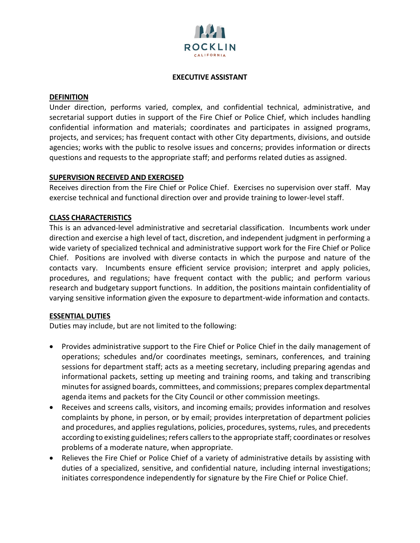

#### **EXECUTIVE ASSISTANT**

#### **DEFINITION**

Under direction, performs varied, complex, and confidential technical, administrative, and secretarial support duties in support of the Fire Chief or Police Chief, which includes handling confidential information and materials; coordinates and participates in assigned programs, projects, and services; has frequent contact with other City departments, divisions, and outside agencies; works with the public to resolve issues and concerns; provides information or directs questions and requests to the appropriate staff; and performs related duties as assigned.

#### **SUPERVISION RECEIVED AND EXERCISED**

Receives direction from the Fire Chief or Police Chief. Exercises no supervision over staff. May exercise technical and functional direction over and provide training to lower-level staff.

## **CLASS CHARACTERISTICS**

This is an advanced-level administrative and secretarial classification. Incumbents work under direction and exercise a high level of tact, discretion, and independent judgment in performing a wide variety of specialized technical and administrative support work for the Fire Chief or Police Chief. Positions are involved with diverse contacts in which the purpose and nature of the contacts vary. Incumbents ensure efficient service provision; interpret and apply policies, procedures, and regulations; have frequent contact with the public; and perform various research and budgetary support functions. In addition, the positions maintain confidentiality of varying sensitive information given the exposure to department-wide information and contacts.

## **ESSENTIAL DUTIES**

Duties may include, but are not limited to the following:

- Provides administrative support to the Fire Chief or Police Chief in the daily management of operations; schedules and/or coordinates meetings, seminars, conferences, and training sessions for department staff; acts as a meeting secretary, including preparing agendas and informational packets, setting up meeting and training rooms, and taking and transcribing minutes for assigned boards, committees, and commissions; prepares complex departmental agenda items and packets for the City Council or other commission meetings.
- Receives and screens calls, visitors, and incoming emails; provides information and resolves complaints by phone, in person, or by email; provides interpretation of department policies and procedures, and applies regulations, policies, procedures, systems, rules, and precedents according to existing guidelines; refers callers to the appropriate staff; coordinates or resolves problems of a moderate nature, when appropriate.
- Relieves the Fire Chief or Police Chief of a variety of administrative details by assisting with duties of a specialized, sensitive, and confidential nature, including internal investigations; initiates correspondence independently for signature by the Fire Chief or Police Chief.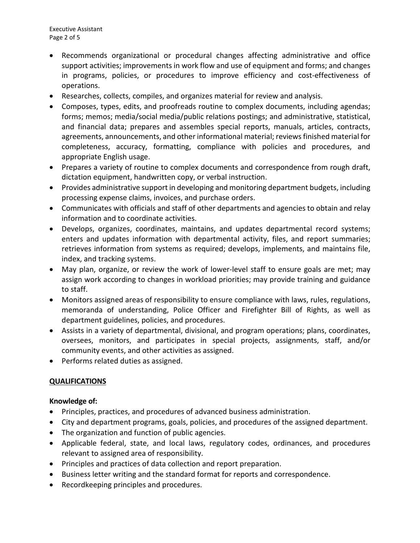Executive Assistant Page 2 of 5

- Recommends organizational or procedural changes affecting administrative and office support activities; improvements in work flow and use of equipment and forms; and changes in programs, policies, or procedures to improve efficiency and cost-effectiveness of operations.
- Researches, collects, compiles, and organizes material for review and analysis.
- Composes, types, edits, and proofreads routine to complex documents, including agendas; forms; memos; media/social media/public relations postings; and administrative, statistical, and financial data; prepares and assembles special reports, manuals, articles, contracts, agreements, announcements, and other informational material; reviews finished material for completeness, accuracy, formatting, compliance with policies and procedures, and appropriate English usage.
- Prepares a variety of routine to complex documents and correspondence from rough draft, dictation equipment, handwritten copy, or verbal instruction.
- Provides administrative support in developing and monitoring department budgets, including processing expense claims, invoices, and purchase orders.
- Communicates with officials and staff of other departments and agencies to obtain and relay information and to coordinate activities.
- Develops, organizes, coordinates, maintains, and updates departmental record systems; enters and updates information with departmental activity, files, and report summaries; retrieves information from systems as required; develops, implements, and maintains file, index, and tracking systems.
- May plan, organize, or review the work of lower-level staff to ensure goals are met; may assign work according to changes in workload priorities; may provide training and guidance to staff.
- Monitors assigned areas of responsibility to ensure compliance with laws, rules, regulations, memoranda of understanding, Police Officer and Firefighter Bill of Rights, as well as department guidelines, policies, and procedures.
- Assists in a variety of departmental, divisional, and program operations; plans, coordinates, oversees, monitors, and participates in special projects, assignments, staff, and/or community events, and other activities as assigned.
- Performs related duties as assigned.

# **QUALIFICATIONS**

## **Knowledge of:**

- Principles, practices, and procedures of advanced business administration.
- City and department programs, goals, policies, and procedures of the assigned department.
- The organization and function of public agencies.
- Applicable federal, state, and local laws, regulatory codes, ordinances, and procedures relevant to assigned area of responsibility.
- Principles and practices of data collection and report preparation.
- Business letter writing and the standard format for reports and correspondence.
- Recordkeeping principles and procedures.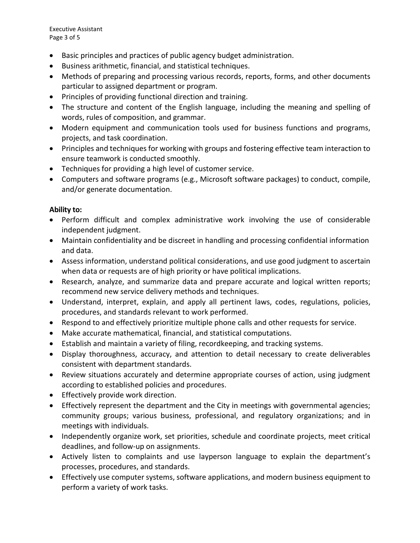Executive Assistant Page 3 of 5

- Basic principles and practices of public agency budget administration.
- Business arithmetic, financial, and statistical techniques.
- Methods of preparing and processing various records, reports, forms, and other documents particular to assigned department or program.
- Principles of providing functional direction and training.
- The structure and content of the English language, including the meaning and spelling of words, rules of composition, and grammar.
- Modern equipment and communication tools used for business functions and programs, projects, and task coordination.
- Principles and techniques for working with groups and fostering effective team interaction to ensure teamwork is conducted smoothly.
- Techniques for providing a high level of customer service.
- Computers and software programs (e.g., Microsoft software packages) to conduct, compile, and/or generate documentation.

## **Ability to:**

- Perform difficult and complex administrative work involving the use of considerable independent judgment.
- Maintain confidentiality and be discreet in handling and processing confidential information and data.
- Assess information, understand political considerations, and use good judgment to ascertain when data or requests are of high priority or have political implications.
- Research, analyze, and summarize data and prepare accurate and logical written reports; recommend new service delivery methods and techniques.
- Understand, interpret, explain, and apply all pertinent laws, codes, regulations, policies, procedures, and standards relevant to work performed.
- Respond to and effectively prioritize multiple phone calls and other requests for service.
- Make accurate mathematical, financial, and statistical computations.
- Establish and maintain a variety of filing, recordkeeping, and tracking systems.
- Display thoroughness, accuracy, and attention to detail necessary to create deliverables consistent with department standards.
- Review situations accurately and determine appropriate courses of action, using judgment according to established policies and procedures.
- Effectively provide work direction.
- Effectively represent the department and the City in meetings with governmental agencies; community groups; various business, professional, and regulatory organizations; and in meetings with individuals.
- Independently organize work, set priorities, schedule and coordinate projects, meet critical deadlines, and follow-up on assignments.
- Actively listen to complaints and use layperson language to explain the department's processes, procedures, and standards.
- Effectively use computer systems, software applications, and modern business equipment to perform a variety of work tasks.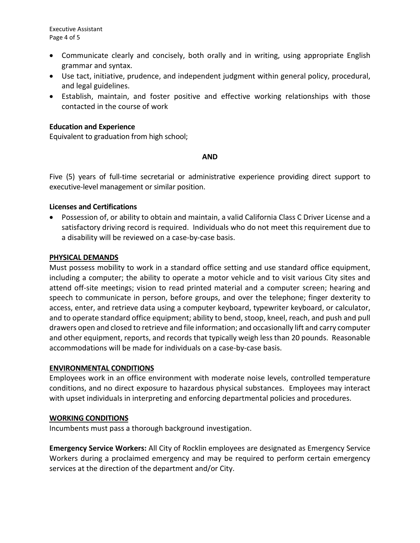- Communicate clearly and concisely, both orally and in writing, using appropriate English grammar and syntax.
- Use tact, initiative, prudence, and independent judgment within general policy, procedural, and legal guidelines.
- Establish, maintain, and foster positive and effective working relationships with those contacted in the course of work

#### **Education and Experience**

Equivalent to graduation from high school;

#### **AND**

Five (5) years of full-time secretarial or administrative experience providing direct support to executive-level management or similar position.

## **Licenses and Certifications**

• Possession of, or ability to obtain and maintain, a valid California Class C Driver License and a satisfactory driving record is required. Individuals who do not meet this requirement due to a disability will be reviewed on a case-by-case basis.

#### **PHYSICAL DEMANDS**

Must possess mobility to work in a standard office setting and use standard office equipment, including a computer; the ability to operate a motor vehicle and to visit various City sites and attend off-site meetings; vision to read printed material and a computer screen; hearing and speech to communicate in person, before groups, and over the telephone; finger dexterity to access, enter, and retrieve data using a computer keyboard, typewriter keyboard, or calculator, and to operate standard office equipment; ability to bend, stoop, kneel, reach, and push and pull drawers open and closed to retrieve and file information; and occasionally lift and carry computer and other equipment, reports, and records that typically weigh less than 20 pounds. Reasonable accommodations will be made for individuals on a case-by-case basis.

#### **ENVIRONMENTAL CONDITIONS**

Employees work in an office environment with moderate noise levels, controlled temperature conditions, and no direct exposure to hazardous physical substances. Employees may interact with upset individuals in interpreting and enforcing departmental policies and procedures.

#### **WORKING CONDITIONS**

Incumbents must pass a thorough background investigation.

**Emergency Service Workers:** All City of Rocklin employees are designated as Emergency Service Workers during a proclaimed emergency and may be required to perform certain emergency services at the direction of the department and/or City.